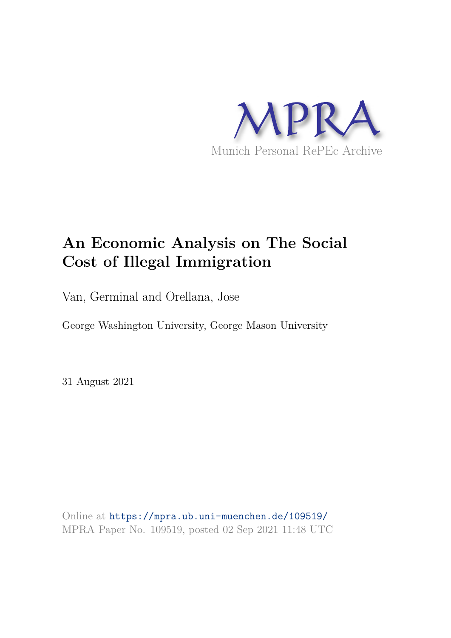

# **An Economic Analysis on The Social Cost of Illegal Immigration**

Van, Germinal and Orellana, Jose

George Washington University, George Mason University

31 August 2021

Online at https://mpra.ub.uni-muenchen.de/109519/ MPRA Paper No. 109519, posted 02 Sep 2021 11:48 UTC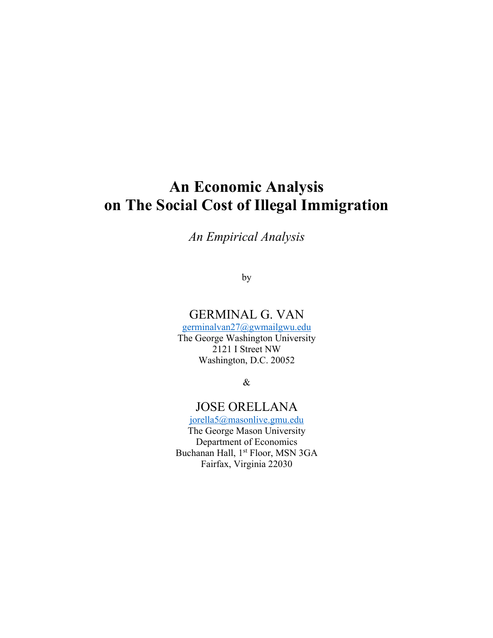## **An Economic Analysis on The Social Cost of Illegal Immigration**

*An Empirical Analysis*

by

## GERMINAL G. VAN

germinalvan27@gwmailgwu.edu The George Washington University 2121 I Street NW Washington, D.C. 20052

&

## JOSE ORELLANA

jorella5@masonlive.gmu.edu The George Mason University Department of Economics Buchanan Hall, 1<sup>st</sup> Floor, MSN 3GA Fairfax, Virginia 22030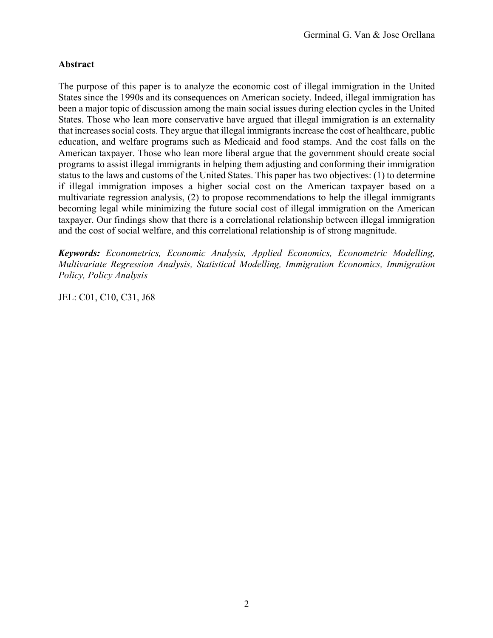#### **Abstract**

The purpose of this paper is to analyze the economic cost of illegal immigration in the United States since the 1990s and its consequences on American society. Indeed, illegal immigration has been a major topic of discussion among the main social issues during election cycles in the United States. Those who lean more conservative have argued that illegal immigration is an externality that increases social costs. They argue that illegal immigrants increase the cost of healthcare, public education, and welfare programs such as Medicaid and food stamps. And the cost falls on the American taxpayer. Those who lean more liberal argue that the government should create social programs to assist illegal immigrants in helping them adjusting and conforming their immigration status to the laws and customs of the United States. This paper has two objectives: (1) to determine if illegal immigration imposes a higher social cost on the American taxpayer based on a multivariate regression analysis, (2) to propose recommendations to help the illegal immigrants becoming legal while minimizing the future social cost of illegal immigration on the American taxpayer. Our findings show that there is a correlational relationship between illegal immigration and the cost of social welfare, and this correlational relationship is of strong magnitude.

*Keywords: Econometrics, Economic Analysis, Applied Economics, Econometric Modelling, Multivariate Regression Analysis, Statistical Modelling, Immigration Economics, Immigration Policy, Policy Analysis* 

JEL: C01, C10, C31, J68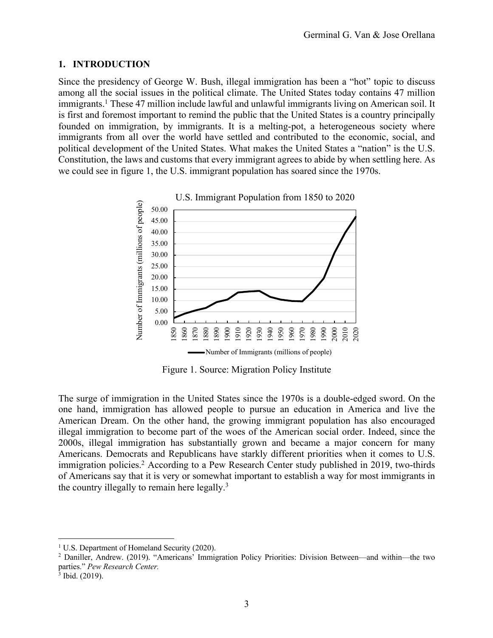#### **1. INTRODUCTION**

Since the presidency of George W. Bush, illegal immigration has been a "hot" topic to discuss among all the social issues in the political climate. The United States today contains 47 million immigrants.<sup>1</sup> These 47 million include lawful and unlawful immigrants living on American soil. It is first and foremost important to remind the public that the United States is a country principally founded on immigration, by immigrants. It is a melting-pot, a heterogeneous society where immigrants from all over the world have settled and contributed to the economic, social, and political development of the United States. What makes the United States a "nation" is the U.S. Constitution, the laws and customs that every immigrant agrees to abide by when settling here. As we could see in figure 1, the U.S. immigrant population has soared since the 1970s.



Figure 1. Source: Migration Policy Institute

The surge of immigration in the United States since the 1970s is a double-edged sword. On the one hand, immigration has allowed people to pursue an education in America and live the American Dream. On the other hand, the growing immigrant population has also encouraged illegal immigration to become part of the woes of the American social order. Indeed, since the 2000s, illegal immigration has substantially grown and became a major concern for many Americans. Democrats and Republicans have starkly different priorities when it comes to U.S. immigration policies.<sup>2</sup> According to a Pew Research Center study published in 2019, two-thirds of Americans say that it is very or somewhat important to establish a way for most immigrants in the country illegally to remain here legally.<sup>3</sup>

<sup>&</sup>lt;sup>1</sup> U.S. Department of Homeland Security (2020).

<sup>2</sup> Daniller, Andrew. (2019). "Americans' Immigration Policy Priorities: Division Between—and within—the two parties." *Pew Research Center.* 

 $3$  Ibid. (2019).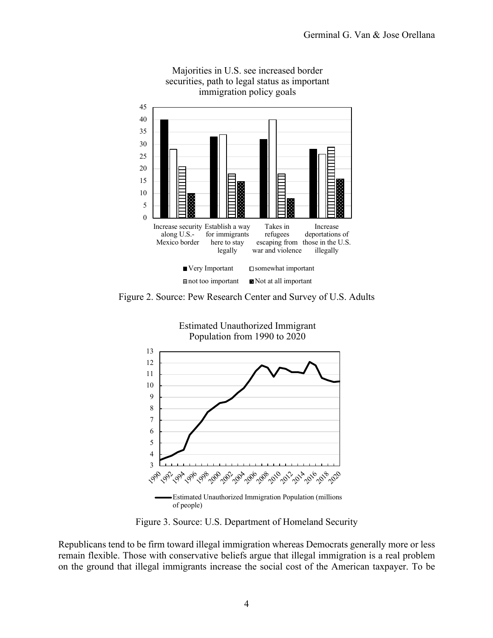

Majorities in U.S. see increased border securities, path to legal status as important immigration policy goals

Figure 2. Source: Pew Research Center and Survey of U.S. Adults



Figure 3. Source: U.S. Department of Homeland Security

Republicans tend to be firm toward illegal immigration whereas Democrats generally more or less remain flexible. Those with conservative beliefs argue that illegal immigration is a real problem on the ground that illegal immigrants increase the social cost of the American taxpayer. To be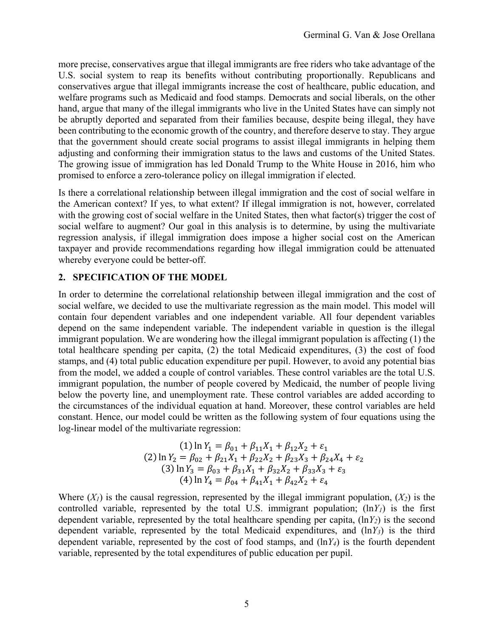more precise, conservatives argue that illegal immigrants are free riders who take advantage of the U.S. social system to reap its benefits without contributing proportionally. Republicans and conservatives argue that illegal immigrants increase the cost of healthcare, public education, and welfare programs such as Medicaid and food stamps. Democrats and social liberals, on the other hand, argue that many of the illegal immigrants who live in the United States have can simply not be abruptly deported and separated from their families because, despite being illegal, they have been contributing to the economic growth of the country, and therefore deserve to stay. They argue that the government should create social programs to assist illegal immigrants in helping them adjusting and conforming their immigration status to the laws and customs of the United States. The growing issue of immigration has led Donald Trump to the White House in 2016, him who promised to enforce a zero-tolerance policy on illegal immigration if elected.

Is there a correlational relationship between illegal immigration and the cost of social welfare in the American context? If yes, to what extent? If illegal immigration is not, however, correlated with the growing cost of social welfare in the United States, then what factor(s) trigger the cost of social welfare to augment? Our goal in this analysis is to determine, by using the multivariate regression analysis, if illegal immigration does impose a higher social cost on the American taxpayer and provide recommendations regarding how illegal immigration could be attenuated whereby everyone could be better-off.

#### **2. SPECIFICATION OF THE MODEL**

In order to determine the correlational relationship between illegal immigration and the cost of social welfare, we decided to use the multivariate regression as the main model. This model will contain four dependent variables and one independent variable. All four dependent variables depend on the same independent variable. The independent variable in question is the illegal immigrant population. We are wondering how the illegal immigrant population is affecting (1) the total healthcare spending per capita, (2) the total Medicaid expenditures, (3) the cost of food stamps, and (4) total public education expenditure per pupil. However, to avoid any potential bias from the model, we added a couple of control variables. These control variables are the total U.S. immigrant population, the number of people covered by Medicaid, the number of people living below the poverty line, and unemployment rate. These control variables are added according to the circumstances of the individual equation at hand. Moreover, these control variables are held constant. Hence, our model could be written as the following system of four equations using the log-linear model of the multivariate regression:

(1) 
$$
\ln Y_1 = \beta_{01} + \beta_{11}X_1 + \beta_{12}X_2 + \varepsilon_1
$$
  
\n(2)  $\ln Y_2 = \beta_{02} + \beta_{21}X_1 + \beta_{22}X_2 + \beta_{23}X_3 + \beta_{24}X_4 + \varepsilon_2$   
\n(3)  $\ln Y_3 = \beta_{03} + \beta_{31}X_1 + \beta_{32}X_2 + \beta_{33}X_3 + \varepsilon_3$   
\n(4)  $\ln Y_4 = \beta_{04} + \beta_{41}X_1 + \beta_{42}X_2 + \varepsilon_4$ 

Where  $(Y<sub>l</sub>)$  is the causal regression, represented by the illegal immigrant population,  $(Y<sub>2</sub>)$  is the controlled variable, represented by the total U.S. immigrant population; (ln*Y1*) is the first dependent variable, represented by the total healthcare spending per capita, (ln*Y2*) is the second dependent variable, represented by the total Medicaid expenditures, and (ln*Y3*) is the third dependent variable, represented by the cost of food stamps, and (ln*Y4*) is the fourth dependent variable, represented by the total expenditures of public education per pupil.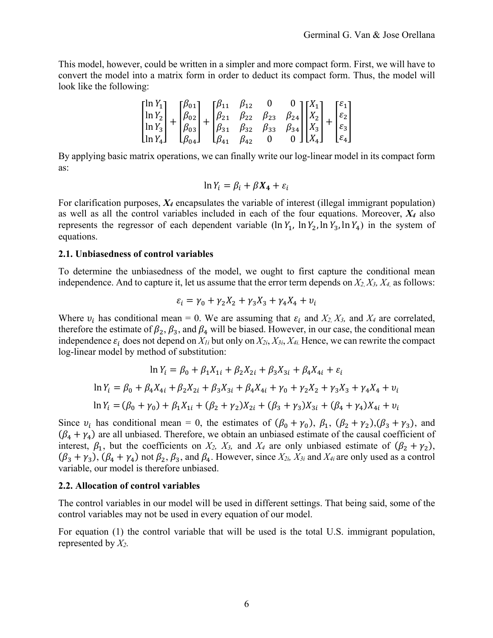This model, however, could be written in a simpler and more compact form. First, we will have to convert the model into a matrix form in order to deduct its compact form. Thus, the model will look like the following:

$$
\begin{bmatrix} \ln Y_1 \\ \ln Y_2 \\ \ln Y_3 \\ \ln Y_4 \end{bmatrix} + \begin{bmatrix} \beta_{01} \\ \beta_{02} \\ \beta_{03} \\ \beta_{04} \end{bmatrix} + \begin{bmatrix} \beta_{11} & \beta_{12} & 0 & 0 \\ \beta_{21} & \beta_{22} & \beta_{23} & \beta_{24} \\ \beta_{31} & \beta_{32} & \beta_{33} & \beta_{34} \\ \beta_{41} & \beta_{42} & 0 & 0 \end{bmatrix} \begin{bmatrix} X_1 \\ X_2 \\ X_3 \\ X_4 \end{bmatrix} + \begin{bmatrix} \varepsilon_1 \\ \varepsilon_2 \\ \varepsilon_3 \\ \varepsilon_4 \end{bmatrix}
$$

By applying basic matrix operations, we can finally write our log-linear model in its compact form as:

$$
\ln Y_i = \beta_i + \beta X_4 + \varepsilon_i
$$

For clarification purposes, *X4* encapsulates the variable of interest (illegal immigrant population) as well as all the control variables included in each of the four equations. Moreover, *X4* also represents the regressor of each dependent variable (ln  $Y_1$ , ln  $Y_2$ , ln  $Y_3$ , ln  $Y_4$ ) in the system of equations.

#### **2.1. Unbiasedness of control variables**

To determine the unbiasedness of the model, we ought to first capture the conditional mean independence. And to capture it, let us assume that the error term depends on *X2, X3, X4,* as follows:

$$
\varepsilon_i = \gamma_0 + \gamma_2 X_2 + \gamma_3 X_3 + \gamma_4 X_4 + \nu_i
$$

Where  $v_i$  has conditional mean = 0. We are assuming that  $\varepsilon_i$  and  $X_2$ ,  $X_3$ , and  $X_4$  are correlated, therefore the estimate of  $\beta_2$ ,  $\beta_3$ , and  $\beta_4$  will be biased. However, in our case, the conditional mean independence  $\varepsilon_i$  does not depend on  $X_{1i}$  but only on  $X_{2i}$ ,  $X_{3i}$ ,  $X_{4i}$ . Hence, we can rewrite the compact log-linear model by method of substitution:

$$
\ln Y_i = \beta_0 + \beta_1 X_{1i} + \beta_2 X_{2i} + \beta_3 X_{3i} + \beta_4 X_{4i} + \varepsilon_i
$$
  

$$
\ln Y_i = \beta_0 + \beta_4 X_{4i} + \beta_2 X_{2i} + \beta_3 X_{3i} + \beta_4 X_{4i} + \gamma_0 + \gamma_2 X_2 + \gamma_3 X_3 + \gamma_4 X_4 + \nu_i
$$
  

$$
\ln Y_i = (\beta_0 + \gamma_0) + \beta_1 X_{1i} + (\beta_2 + \gamma_2) X_{2i} + (\beta_3 + \gamma_3) X_{3i} + (\beta_4 + \gamma_4) X_{4i} + \nu_i
$$

Since  $v_i$  has conditional mean = 0, the estimates of  $(\beta_0 + \gamma_0)$ ,  $\beta_1$ ,  $(\beta_2 + \gamma_2)$ ,  $(\beta_3 + \gamma_3)$ , and  $(\beta_4 + \gamma_4)$  are all unbiased. Therefore, we obtain an unbiased estimate of the causal coefficient of interest,  $\beta_1$ , but the coefficients on  $X_2$ ,  $X_3$ , and  $X_4$  are only unbiased estimate of  $(\beta_2 + \gamma_2)$ ,  $(\beta_3 + \gamma_3)$ ,  $(\beta_4 + \gamma_4)$  not  $\beta_2$ ,  $\beta_3$ , and  $\beta_4$ . However, since  $X_{2i}$ ,  $X_{3i}$  and  $X_{4i}$  are only used as a control variable, our model is therefore unbiased.

#### **2.2. Allocation of control variables**

The control variables in our model will be used in different settings. That being said, some of the control variables may not be used in every equation of our model.

For equation (1) the control variable that will be used is the total U.S. immigrant population, represented by *X2.*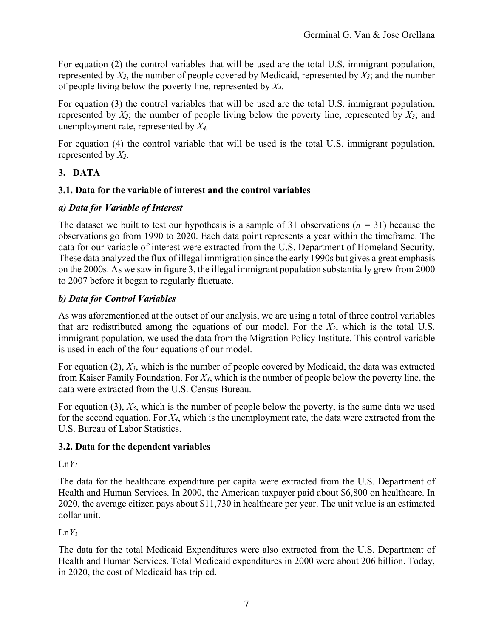For equation (2) the control variables that will be used are the total U.S. immigrant population, represented by *X2*, the number of people covered by Medicaid, represented by *X3*; and the number of people living below the poverty line, represented by *X4*.

For equation (3) the control variables that will be used are the total U.S. immigrant population, represented by *X2*; the number of people living below the poverty line, represented by *X3*; and unemployment rate, represented by *X4.*

For equation (4) the control variable that will be used is the total U.S. immigrant population, represented by *X2*.

## **3. DATA**

#### **3.1. Data for the variable of interest and the control variables**

#### *a) Data for Variable of Interest*

The dataset we built to test our hypothesis is a sample of 31 observations (*n =* 31) because the observations go from 1990 to 2020. Each data point represents a year within the timeframe. The data for our variable of interest were extracted from the U.S. Department of Homeland Security. These data analyzed the flux of illegal immigration since the early 1990s but gives a great emphasis on the 2000s. As we saw in figure 3, the illegal immigrant population substantially grew from 2000 to 2007 before it began to regularly fluctuate.

#### *b) Data for Control Variables*

As was aforementioned at the outset of our analysis, we are using a total of three control variables that are redistributed among the equations of our model. For the *X2*, which is the total U.S. immigrant population, we used the data from the Migration Policy Institute. This control variable is used in each of the four equations of our model.

For equation (2), *X3*, which is the number of people covered by Medicaid, the data was extracted from Kaiser Family Foundation. For *X4*, which is the number of people below the poverty line, the data were extracted from the U.S. Census Bureau.

For equation (3), *X3*, which is the number of people below the poverty, is the same data we used for the second equation. For *X4*, which is the unemployment rate, the data were extracted from the U.S. Bureau of Labor Statistics.

#### **3.2. Data for the dependent variables**

#### $LnY_1$

The data for the healthcare expenditure per capita were extracted from the U.S. Department of Health and Human Services. In 2000, the American taxpayer paid about \$6,800 on healthcare. In 2020, the average citizen pays about \$11,730 in healthcare per year. The unit value is an estimated dollar unit.

#### $LnY_2$

The data for the total Medicaid Expenditures were also extracted from the U.S. Department of Health and Human Services. Total Medicaid expenditures in 2000 were about 206 billion. Today, in 2020, the cost of Medicaid has tripled.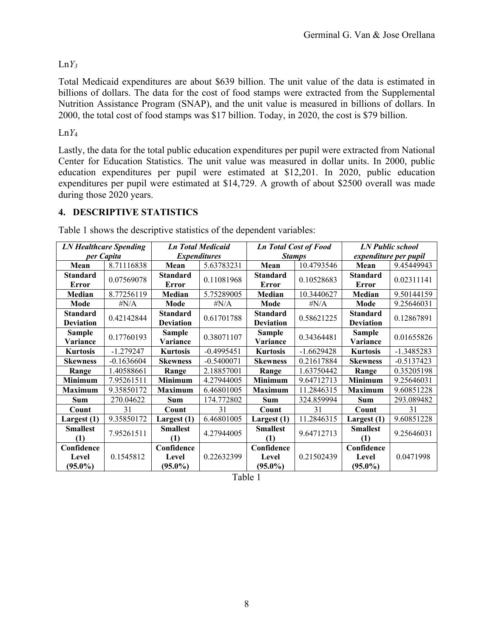## $LnY_3$

Total Medicaid expenditures are about \$639 billion. The unit value of the data is estimated in billions of dollars. The data for the cost of food stamps were extracted from the Supplemental Nutrition Assistance Program (SNAP), and the unit value is measured in billions of dollars. In 2000, the total cost of food stamps was \$17 billion. Today, in 2020, the cost is \$79 billion.

#### Ln*Y*<sup>4</sup>

Lastly, the data for the total public education expenditures per pupil were extracted from National Center for Education Statistics. The unit value was measured in dollar units. In 2000, public education expenditures per pupil were estimated at \$12,201. In 2020, public education expenditures per pupil were estimated at \$14,729. A growth of about \$2500 overall was made during those 2020 years.

## **4. DESCRIPTIVE STATISTICS**

| <b>LN Healthcare Spending</b> |              | <b>Ln Total Medicaid</b> |              | <b>Ln Total Cost of Food</b> |              | <b>LN Public school</b> |              |  |
|-------------------------------|--------------|--------------------------|--------------|------------------------------|--------------|-------------------------|--------------|--|
| per Capita                    |              | <b>Expenditures</b>      |              | <b>Stamps</b>                |              | expenditure per pupil   |              |  |
| Mean                          | 8.71116838   | Mean                     | 5.63783231   | Mean                         | 10.4793546   | Mean                    | 9.45449943   |  |
| <b>Standard</b>               | 0.07569078   | <b>Standard</b>          | 0.11081968   | <b>Standard</b>              | 0.10528683   | <b>Standard</b>         | 0.02311141   |  |
| Error                         |              | <b>Error</b>             |              | <b>Error</b>                 |              | <b>Error</b>            |              |  |
| Median                        | 8.77256119   | Median                   | 5.75289005   | Median                       | 10.3440627   | Median                  | 9.50144159   |  |
| Mode                          | # $N/A$      | Mode                     | # $N/A$      | Mode                         | $\#N/A$      | Mode                    | 9.25646031   |  |
| <b>Standard</b>               | 0.42142844   | <b>Standard</b>          | 0.61701788   | <b>Standard</b>              | 0.58621225   | <b>Standard</b>         | 0.12867891   |  |
| <b>Deviation</b>              |              | <b>Deviation</b>         |              | <b>Deviation</b>             |              | <b>Deviation</b>        |              |  |
| <b>Sample</b>                 | 0.17760193   | <b>Sample</b>            | 0.38071107   | <b>Sample</b>                | 0.34364481   | <b>Sample</b>           | 0.01655826   |  |
| Variance                      |              | Variance                 |              | Variance                     |              | Variance                |              |  |
| <b>Kurtosis</b>               | $-1.279247$  | <b>Kurtosis</b>          | $-0.4995451$ | <b>Kurtosis</b>              | $-1.6629428$ | <b>Kurtosis</b>         | $-1.3485283$ |  |
| <b>Skewness</b>               | $-0.1636604$ | <b>Skewness</b>          | $-0.5400071$ | <b>Skewness</b>              | 0.21617884   | <b>Skewness</b>         | $-0.5137423$ |  |
| Range                         | 1.40588661   | Range                    | 2.18857001   | Range                        | 1.63750442   | Range                   | 0.35205198   |  |
| <b>Minimum</b>                | 7.95261511   | <b>Minimum</b>           | 4.27944005   | <b>Minimum</b>               | 9.64712713   | <b>Minimum</b>          | 9.25646031   |  |
| <b>Maximum</b>                | 9.35850172   | <b>Maximum</b>           | 6.46801005   | <b>Maximum</b>               | 11.2846315   | <b>Maximum</b>          | 9.60851228   |  |
| <b>Sum</b>                    | 270.04622    | <b>Sum</b>               | 174.772802   | <b>Sum</b>                   | 324.859994   | <b>Sum</b>              | 293.089482   |  |
| Count                         | 31           | Count                    | 31           | Count                        | 31           | Count                   | 31           |  |
| Largest $(1)$                 | 9.35850172   | Largest (1)              | 6.46801005   | Largest $(1)$                | 11.2846315   | Largest (1)             | 9.60851228   |  |
| <b>Smallest</b>               | 7.95261511   | <b>Smallest</b>          | 4.27944005   | <b>Smallest</b>              | 9.64712713   | <b>Smallest</b>         | 9.25646031   |  |
| (1)                           |              | (1)                      |              | (1)                          |              | (1)                     |              |  |
| Confidence                    |              | Confidence               |              | Confidence                   |              | Confidence              |              |  |
| Level                         | 0.1545812    | Level                    | 0.22632399   | Level                        | 0.21502439   | Level                   | 0.0471998    |  |
| $(95.0\%)$                    |              | $(95.0\%)$               |              | $(95.0\%)$                   |              | $(95.0\%)$              |              |  |

Table 1 shows the descriptive statistics of the dependent variables:

Table 1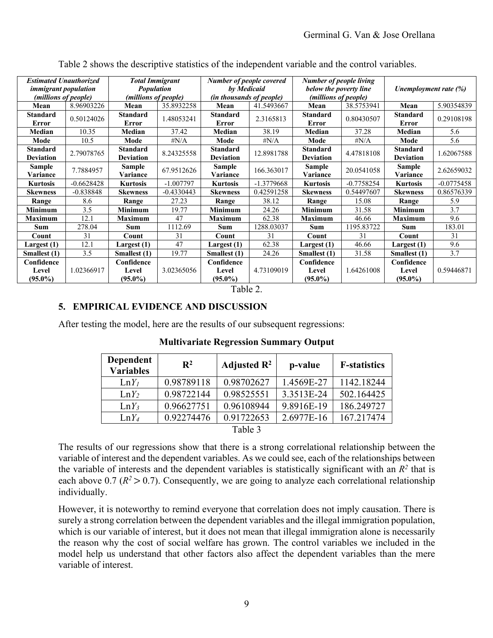| <b>Estimated Unauthorized</b><br><i>immigrant population</i><br>(millions of people) |              | <b>Total Immigrant</b><br><b>Population</b><br>(millions of people) |              | Number of people covered<br>by Medicaid<br>(in thousands of people) |              | <b>Number of people living</b><br>below the poverty line<br>(millions of people) |              | Unemployment rate (%)               |              |
|--------------------------------------------------------------------------------------|--------------|---------------------------------------------------------------------|--------------|---------------------------------------------------------------------|--------------|----------------------------------------------------------------------------------|--------------|-------------------------------------|--------------|
| Mean                                                                                 | 8.96903226   | Mean                                                                | 35.8932258   | Mean                                                                | 41.5493667   | Mean                                                                             | 38.5753941   | Mean                                | 5.90354839   |
| <b>Standard</b><br>Error                                                             | 0.50124026   | <b>Standard</b><br><b>Error</b>                                     | 1.48053241   | <b>Standard</b><br><b>Error</b>                                     | 2.3165813    | <b>Standard</b><br>Error                                                         | 0.80430507   | <b>Standard</b><br><b>Error</b>     | 0.29108198   |
| <b>Median</b>                                                                        | 10.35        | Median                                                              | 37.42        | Median                                                              | 38.19        | Median                                                                           | 37.28        | Median                              | 5.6          |
| Mode                                                                                 | 10.5         | Mode                                                                | $\sharp N/A$ | Mode                                                                | $\sharp N/A$ | Mode                                                                             | $\sharp N/A$ | Mode                                | 5.6          |
| Standard<br><b>Deviation</b>                                                         | 2.79078765   | <b>Standard</b><br><b>Deviation</b>                                 | 8.24325558   | <b>Standard</b><br><b>Deviation</b>                                 | 12.8981788   | <b>Standard</b><br><b>Deviation</b>                                              | 4.47818108   | <b>Standard</b><br><b>Deviation</b> | 1.62067588   |
| <b>Sample</b><br>Variance                                                            | 7.7884957    | <b>Sample</b><br>Variance                                           | 67.9512626   | <b>Sample</b><br>Variance                                           | 166.363017   | <b>Sample</b><br>Variance                                                        | 20.0541058   | <b>Sample</b><br>Variance           | 2.62659032   |
| <b>Kurtosis</b>                                                                      | $-0.6628428$ | <b>Kurtosis</b>                                                     | $-1.007797$  | <b>Kurtosis</b>                                                     | -1.3779668   | <b>Kurtosis</b>                                                                  | $-0.7758254$ | <b>Kurtosis</b>                     | $-0.0775458$ |
| <b>Skewness</b>                                                                      | $-0.838848$  | <b>Skewness</b>                                                     | $-0.4330443$ | <b>Skewness</b>                                                     | 0.42591258   | <b>Skewness</b>                                                                  | 0.54497607   | <b>Skewness</b>                     | 0.86576339   |
| Range                                                                                | 8.6          | Range                                                               | 27.23        | Range                                                               | 38.12        | Range                                                                            | 15.08        | Range                               | 5.9          |
| <b>Minimum</b>                                                                       | 3.5          | <b>Minimum</b>                                                      | 19.77        | <b>Minimum</b>                                                      | 24.26        | <b>Minimum</b>                                                                   | 31.58        | <b>Minimum</b>                      | 3.7          |
| <b>Maximum</b>                                                                       | 12.1         | <b>Maximum</b>                                                      | 47           | <b>Maximum</b>                                                      | 62.38        | <b>Maximum</b>                                                                   | 46.66        | <b>Maximum</b>                      | 9.6          |
| <b>Sum</b>                                                                           | 278.04       | Sum                                                                 | 1112.69      | <b>Sum</b>                                                          | 1288.03037   | Sum                                                                              | 1195.83722   | <b>Sum</b>                          | 183.01       |
| Count                                                                                | 31           | Count                                                               | 31           | Count                                                               | 31           | Count                                                                            | 31           | Count                               | 31           |
| Largest (1)                                                                          | 12.1         | Largest (1)                                                         | 47           | Largest (1)                                                         | 62.38        | Largest (1)                                                                      | 46.66        | Largest (1)                         | 9.6          |
| Smallest (1)                                                                         | 3.5          | Smallest (1)                                                        | 19.77        | Smallest (1)                                                        | 24.26        | Smallest (1)                                                                     | 31.58        | Smallest (1)                        | 3.7          |
| Confidence                                                                           |              | Confidence                                                          |              | Confidence                                                          |              | Confidence                                                                       |              | Confidence                          |              |
| Level<br>$(95.0\%)$                                                                  | 1.02366917   | Level<br>$(95.0\%)$                                                 | 3.02365056   | Level<br>$(95.0\%)$                                                 | 4.73109019   | Level<br>$(95.0\%)$                                                              | 1.64261008   | Level<br>$(95.0\%)$                 | 0.59446871   |

Table 2 shows the descriptive statistics of the independent variable and the control variables.

#### Table 2.

#### **5. EMPIRICAL EVIDENCE AND DISCUSSION**

After testing the model, here are the results of our subsequent regressions:

| <b>Dependent</b><br><b>Variables</b> | $\mathbf{R}^2$ | Adjusted $\mathbb{R}^2$ | p-value    | <b>F-statistics</b> |
|--------------------------------------|----------------|-------------------------|------------|---------------------|
| $LnY_1$                              | 0.98789118     | 0.98702627              | 1.4569E-27 | 1142.18244          |
| $LnY_2$                              | 0.98722144     | 0.98525551              | 3.3513E-24 | 502.164425          |
| $LnY_3$                              | 0.96627751     | 0.96108944              | 9.8916E-19 | 186.249727          |
| $LnY_4$                              | 0.92274476     | 0.91722653              | 2.6977E-16 | 167.217474          |
|                                      |                | Table 3                 |            |                     |

#### **Multivariate Regression Summary Output**

The results of our regressions show that there is a strong correlational relationship between the variable of interest and the dependent variables. As we could see, each of the relationships between the variable of interests and the dependent variables is statistically significant with an  $R<sup>2</sup>$  that is each above 0.7 ( $R^2 > 0.7$ ). Consequently, we are going to analyze each correlational relationship individually.

However, it is noteworthy to remind everyone that correlation does not imply causation. There is surely a strong correlation between the dependent variables and the illegal immigration population, which is our variable of interest, but it does not mean that illegal immigration alone is necessarily the reason why the cost of social welfare has grown. The control variables we included in the model help us understand that other factors also affect the dependent variables than the mere variable of interest.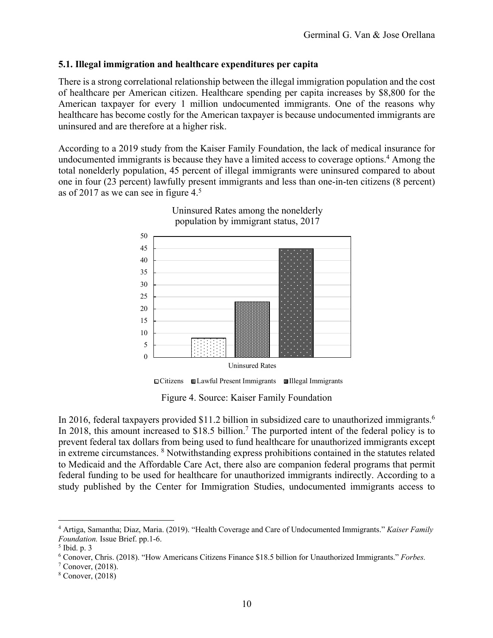#### **5.1. Illegal immigration and healthcare expenditures per capita**

There is a strong correlational relationship between the illegal immigration population and the cost of healthcare per American citizen. Healthcare spending per capita increases by \$8,800 for the American taxpayer for every 1 million undocumented immigrants. One of the reasons why healthcare has become costly for the American taxpayer is because undocumented immigrants are uninsured and are therefore at a higher risk.

According to a 2019 study from the Kaiser Family Foundation, the lack of medical insurance for undocumented immigrants is because they have a limited access to coverage options.<sup>4</sup> Among the total nonelderly population, 45 percent of illegal immigrants were uninsured compared to about one in four (23 percent) lawfully present immigrants and less than one-in-ten citizens (8 percent) as of 2017 as we can see in figure 4.<sup>5</sup>



Uninsured Rates among the nonelderly population by immigrant status, 2017

Figure 4. Source: Kaiser Family Foundation Citizens Lawful Present Immigrants Illegal Immigrants

In 2016, federal taxpayers provided \$11.2 billion in subsidized care to unauthorized immigrants.<sup>6</sup> In 2018, this amount increased to \$18.5 billion.<sup>7</sup> The purported intent of the federal policy is to prevent federal tax dollars from being used to fund healthcare for unauthorized immigrants except in extreme circumstances. <sup>8</sup> Notwithstanding express prohibitions contained in the statutes related to Medicaid and the Affordable Care Act, there also are companion federal programs that permit federal funding to be used for healthcare for unauthorized immigrants indirectly. According to a study published by the Center for Immigration Studies, undocumented immigrants access to

<sup>4</sup> Artiga, Samantha; Diaz, Maria. (2019). "Health Coverage and Care of Undocumented Immigrants." *Kaiser Family Foundation.* Issue Brief. pp.1-6.

<sup>5</sup> Ibid. p. 3

<sup>6</sup> Conover, Chris. (2018). "How Americans Citizens Finance \$18.5 billion for Unauthorized Immigrants." *Forbes.* 

 $7$  Conover,  $(2018)$ .

<sup>8</sup> Conover, (2018)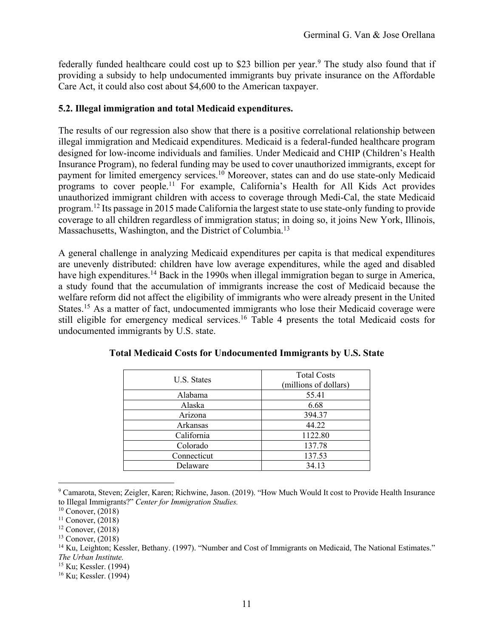federally funded healthcare could cost up to \$23 billion per year.<sup>9</sup> The study also found that if providing a subsidy to help undocumented immigrants buy private insurance on the Affordable Care Act, it could also cost about \$4,600 to the American taxpayer.

#### **5.2. Illegal immigration and total Medicaid expenditures.**

The results of our regression also show that there is a positive correlational relationship between illegal immigration and Medicaid expenditures. Medicaid is a federal-funded healthcare program designed for low-income individuals and families. Under Medicaid and CHIP (Children's Health Insurance Program), no federal funding may be used to cover unauthorized immigrants, except for payment for limited emergency services.<sup>10</sup> Moreover, states can and do use state-only Medicaid programs to cover people.<sup>11</sup> For example, California's Health for All Kids Act provides unauthorized immigrant children with access to coverage through Medi-Cal, the state Medicaid program.<sup>12</sup> Its passage in 2015 made California the largest state to use state-only funding to provide coverage to all children regardless of immigration status; in doing so, it joins New York, Illinois, Massachusetts, Washington, and the District of Columbia.<sup>13</sup>

A general challenge in analyzing Medicaid expenditures per capita is that medical expenditures are unevenly distributed: children have low average expenditures, while the aged and disabled have high expenditures.<sup>14</sup> Back in the 1990s when illegal immigration began to surge in America, a study found that the accumulation of immigrants increase the cost of Medicaid because the welfare reform did not affect the eligibility of immigrants who were already present in the United States.<sup>15</sup> As a matter of fact, undocumented immigrants who lose their Medicaid coverage were still eligible for emergency medical services.<sup>16</sup> Table 4 presents the total Medicaid costs for undocumented immigrants by U.S. state.

| U.S. States | <b>Total Costs</b><br>(millions of dollars) |  |  |
|-------------|---------------------------------------------|--|--|
| Alabama     | 55.41                                       |  |  |
| Alaska      | 6.68                                        |  |  |
| Arizona     | 394.37                                      |  |  |
| Arkansas    | 44.22                                       |  |  |
| California  | 1122.80                                     |  |  |
| Colorado    | 137.78                                      |  |  |
| Connecticut | 137.53                                      |  |  |
| Delaware    | 34.13                                       |  |  |
|             |                                             |  |  |

<sup>9</sup> Camarota, Steven; Zeigler, Karen; Richwine, Jason. (2019). "How Much Would It cost to Provide Health Insurance to Illegal Immigrants?" *Center for Immigration Studies.* 

 $10$  Conover, (2018)

 $11$  Conover,  $(2018)$ 

 $12$  Conover,  $(2018)$ 

 $13$  Conover,  $(2018)$ 

<sup>&</sup>lt;sup>14</sup> Ku, Leighton; Kessler, Bethany. (1997). "Number and Cost of Immigrants on Medicaid, The National Estimates." *The Urban Institute.* 

<sup>15</sup> Ku; Kessler. (1994)

<sup>16</sup> Ku; Kessler. (1994)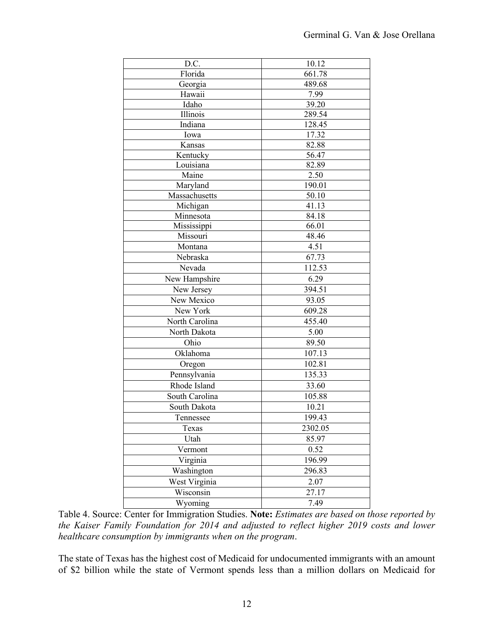| D.C.           | 10.12   |  |  |  |
|----------------|---------|--|--|--|
| Florida        | 661.78  |  |  |  |
| Georgia        | 489.68  |  |  |  |
| Hawaii         | 7.99    |  |  |  |
| Idaho          | 39.20   |  |  |  |
| Illinois       | 289.54  |  |  |  |
| Indiana        | 128.45  |  |  |  |
| Iowa           | 17.32   |  |  |  |
| Kansas         | 82.88   |  |  |  |
| Kentucky       | 56.47   |  |  |  |
| Louisiana      | 82.89   |  |  |  |
| Maine          | 2.50    |  |  |  |
| Maryland       | 190.01  |  |  |  |
| Massachusetts  | 50.10   |  |  |  |
| Michigan       | 41.13   |  |  |  |
| Minnesota      | 84.18   |  |  |  |
| Mississippi    | 66.01   |  |  |  |
| Missouri       | 48.46   |  |  |  |
| Montana        | 4.51    |  |  |  |
| Nebraska       | 67.73   |  |  |  |
| Nevada         | 112.53  |  |  |  |
| New Hampshire  | 6.29    |  |  |  |
| New Jersey     | 394.51  |  |  |  |
| New Mexico     | 93.05   |  |  |  |
| New York       | 609.28  |  |  |  |
| North Carolina | 455.40  |  |  |  |
| North Dakota   | 5.00    |  |  |  |
| Ohio           | 89.50   |  |  |  |
| Oklahoma       | 107.13  |  |  |  |
| Oregon         | 102.81  |  |  |  |
| Pennsylvania   | 135.33  |  |  |  |
| Rhode Island   | 33.60   |  |  |  |
| South Carolina | 105.88  |  |  |  |
| South Dakota   | 10.21   |  |  |  |
|                |         |  |  |  |
| Tennessee      | 199.43  |  |  |  |
| Texas          | 2302.05 |  |  |  |
| Utah           | 85.97   |  |  |  |
| Vermont        | 0.52    |  |  |  |
| Virginia       | 196.99  |  |  |  |
| Washington     | 296.83  |  |  |  |
| West Virginia  | 2.07    |  |  |  |
| Wisconsin      | 27.17   |  |  |  |
| Wyoming        | 7.49    |  |  |  |

Table 4. Source: Center for Immigration Studies. **Note:** *Estimates are based on those reported by the Kaiser Family Foundation for 2014 and adjusted to reflect higher 2019 costs and lower healthcare consumption by immigrants when on the program*.

The state of Texas has the highest cost of Medicaid for undocumented immigrants with an amount of \$2 billion while the state of Vermont spends less than a million dollars on Medicaid for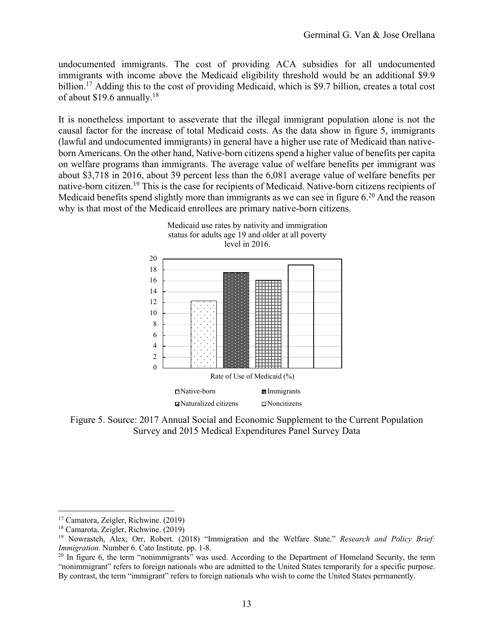undocumented immigrants. The cost of providing ACA subsidies for all undocumented immigrants with income above the Medicaid eligibility threshold would be an additional \$9.9 billion.<sup>17</sup> Adding this to the cost of providing Medicaid, which is \$9.7 billion, creates a total cost of about \$19.6 annually.<sup>18</sup>

It is nonetheless important to asseverate that the illegal immigrant population alone is not the causal factor for the increase of total Medicaid costs. As the data show in figure 5, immigrants (lawful and undocumented immigrants) in general have a higher use rate of Medicaid than nativeborn Americans. On the other hand, Native-born citizens spend a higher value of benefits per capita on welfare programs than immigrants. The average value of welfare benefits per immigrant was about \$3,718 in 2016, about 39 percent less than the 6,081 average value of welfare benefits per native-born citizen.<sup>19</sup> This is the case for recipients of Medicaid. Native-born citizens recipients of Medicaid benefits spend slightly more than immigrants as we can see in figure 6.<sup>20</sup> And the reason why is that most of the Medicaid enrollees are primary native-born citizens.



Figure 5. Source: 2017 Annual Social and Economic Supplement to the Current Population Survey and 2015 Medical Expenditures Panel Survey Data

<sup>17</sup> Camatora, Zeigler, Richwine. (2019)

<sup>18</sup> Camarota, Zeigler, Richwine. (2019)

<sup>19</sup> Nowrasteh, Alex; Orr, Robert. (2018) "Immigration and the Welfare State." *Research and Policy Brief: Immigration.* Number 6. Cato Institute. pp. 1-8.

<sup>&</sup>lt;sup>20</sup> In figure 6, the term "nonimmigrants" was used. According to the Department of Homeland Security, the term "nonimmigrant" refers to foreign nationals who are admitted to the United States temporarily for a specific purpose. By contrast, the term "immigrant" refers to foreign nationals who wish to come the United States permanently.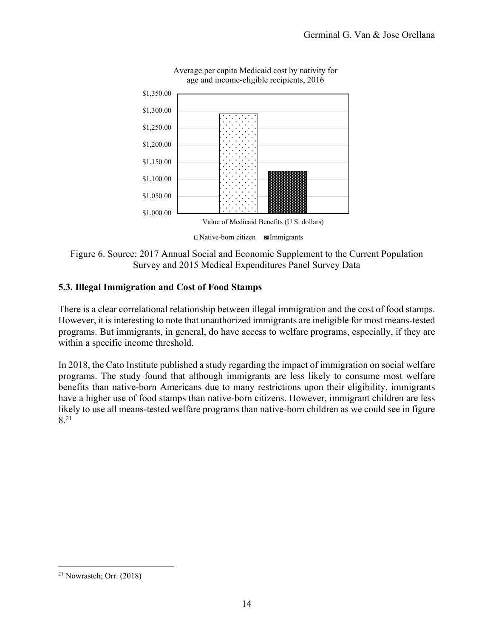





## **5.3. Illegal Immigration and Cost of Food Stamps**

There is a clear correlational relationship between illegal immigration and the cost of food stamps. However, it is interesting to note that unauthorized immigrants are ineligible for most means-tested programs. But immigrants, in general, do have access to welfare programs, especially, if they are within a specific income threshold.

In 2018, the Cato Institute published a study regarding the impact of immigration on social welfare programs. The study found that although immigrants are less likely to consume most welfare benefits than native-born Americans due to many restrictions upon their eligibility, immigrants have a higher use of food stamps than native-born citizens. However, immigrant children are less likely to use all means-tested welfare programs than native-born children as we could see in figure  $8.21$ 

<sup>21</sup> Nowrasteh; Orr. (2018)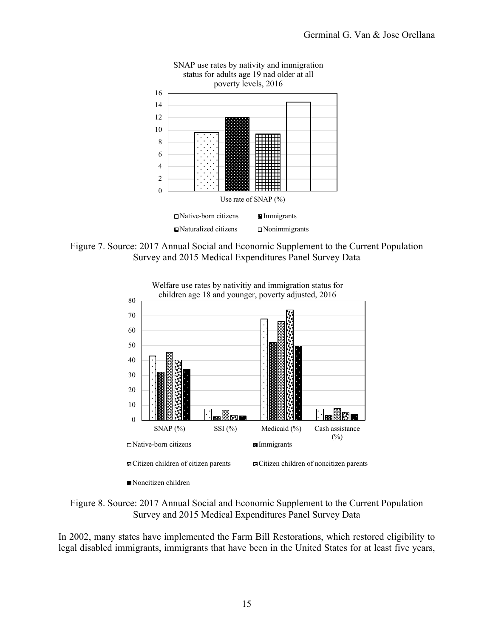



Figure 7. Source: 2017 Annual Social and Economic Supplement to the Current Population Survey and 2015 Medical Expenditures Panel Survey Data



Welfare use rates by nativitiy and immigration status for children age 18 and younger, poverty adjusted, 2016

Figure 8. Source: 2017 Annual Social and Economic Supplement to the Current Population Survey and 2015 Medical Expenditures Panel Survey Data

In 2002, many states have implemented the Farm Bill Restorations, which restored eligibility to legal disabled immigrants, immigrants that have been in the United States for at least five years,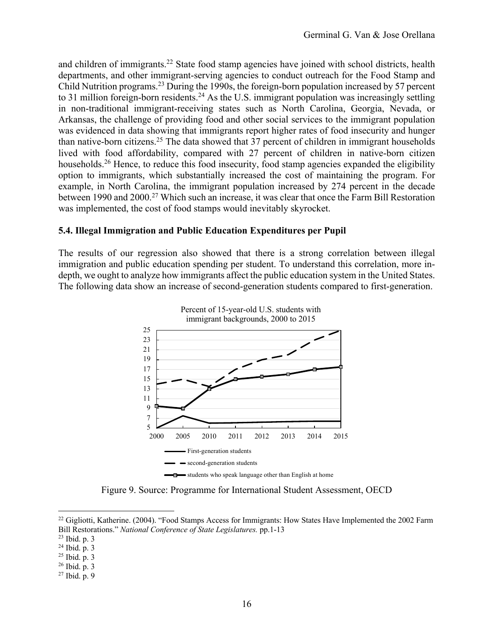and children of immigrants.<sup>22</sup> State food stamp agencies have joined with school districts, health departments, and other immigrant-serving agencies to conduct outreach for the Food Stamp and Child Nutrition programs.<sup>23</sup> During the 1990s, the foreign-born population increased by 57 percent to 31 million foreign-born residents.<sup>24</sup> As the U.S. immigrant population was increasingly settling in non-traditional immigrant-receiving states such as North Carolina, Georgia, Nevada, or Arkansas, the challenge of providing food and other social services to the immigrant population was evidenced in data showing that immigrants report higher rates of food insecurity and hunger than native-born citizens.<sup>25</sup> The data showed that 37 percent of children in immigrant households lived with food affordability, compared with 27 percent of children in native-born citizen households.<sup>26</sup> Hence, to reduce this food insecurity, food stamp agencies expanded the eligibility option to immigrants, which substantially increased the cost of maintaining the program. For example, in North Carolina, the immigrant population increased by 274 percent in the decade between 1990 and 2000.<sup>27</sup> Which such an increase, it was clear that once the Farm Bill Restoration was implemented, the cost of food stamps would inevitably skyrocket.

#### **5.4. Illegal Immigration and Public Education Expenditures per Pupil**

The results of our regression also showed that there is a strong correlation between illegal immigration and public education spending per student. To understand this correlation, more indepth, we ought to analyze how immigrants affect the public education system in the United States. The following data show an increase of second-generation students compared to first-generation.



Figure 9. Source: Programme for International Student Assessment, OECD

<sup>&</sup>lt;sup>22</sup> Gigliotti, Katherine. (2004). "Food Stamps Access for Immigrants: How States Have Implemented the 2002 Farm Bill Restorations." *National Conference of State Legislatures.* pp.1-13

<sup>23</sup> Ibid. p. 3

<sup>24</sup> Ibid. p. 3

<sup>25</sup> Ibid. p. 3

<sup>26</sup> Ibid. p. 3

<sup>27</sup> Ibid. p. 9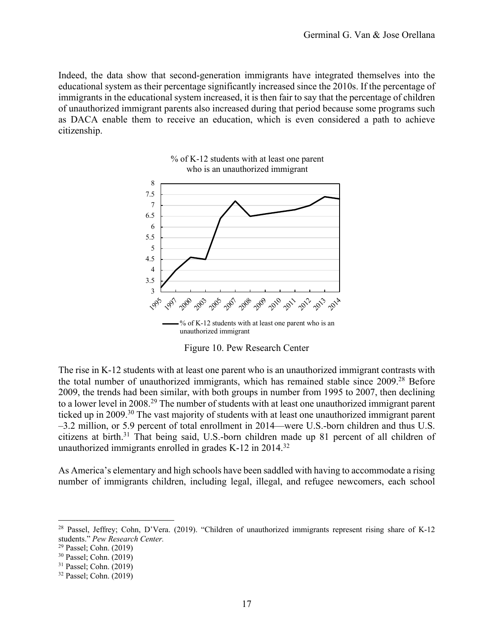Indeed, the data show that second-generation immigrants have integrated themselves into the educational system as their percentage significantly increased since the 2010s. If the percentage of immigrants in the educational system increased, it is then fair to say that the percentage of children of unauthorized immigrant parents also increased during that period because some programs such as DACA enable them to receive an education, which is even considered a path to achieve citizenship.





Figure 10. Pew Research Center

The rise in K-12 students with at least one parent who is an unauthorized immigrant contrasts with the total number of unauthorized immigrants, which has remained stable since 2009.<sup>28</sup> Before 2009, the trends had been similar, with both groups in number from 1995 to 2007, then declining to a lower level in 2008.<sup>29</sup> The number of students with at least one unauthorized immigrant parent ticked up in 2009.<sup>30</sup> The vast majority of students with at least one unauthorized immigrant parent –3.2 million, or 5.9 percent of total enrollment in 2014—were U.S.-born children and thus U.S. citizens at birth.<sup>31</sup> That being said, U.S.-born children made up 81 percent of all children of unauthorized immigrants enrolled in grades K-12 in 2014.<sup>32</sup>

As America's elementary and high schools have been saddled with having to accommodate a rising number of immigrants children, including legal, illegal, and refugee newcomers, each school

<sup>&</sup>lt;sup>28</sup> Passel, Jeffrey; Cohn, D'Vera. (2019). "Children of unauthorized immigrants represent rising share of K-12 students." *Pew Research Center.* 

<sup>29</sup> Passel; Cohn. (2019)

<sup>30</sup> Passel; Cohn. (2019)

<sup>31</sup> Passel; Cohn. (2019)

<sup>32</sup> Passel; Cohn. (2019)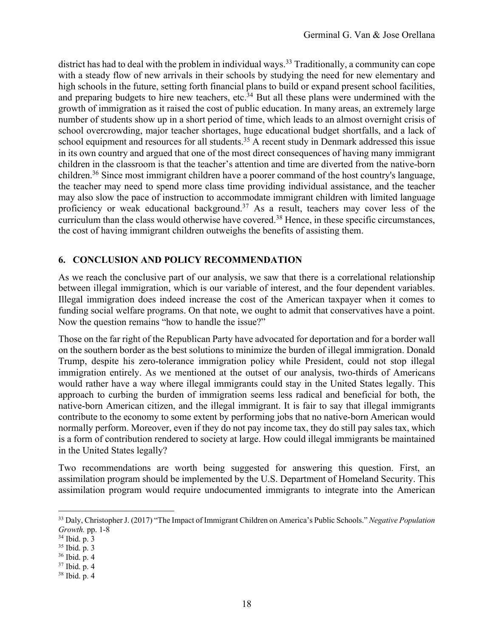district has had to deal with the problem in individual ways.<sup>33</sup> Traditionally, a community can cope with a steady flow of new arrivals in their schools by studying the need for new elementary and high schools in the future, setting forth financial plans to build or expand present school facilities, and preparing budgets to hire new teachers, etc. $34$  But all these plans were undermined with the growth of immigration as it raised the cost of public education. In many areas, an extremely large number of students show up in a short period of time, which leads to an almost overnight crisis of school overcrowding, major teacher shortages, huge educational budget shortfalls, and a lack of school equipment and resources for all students.<sup>35</sup> A recent study in Denmark addressed this issue in its own country and argued that one of the most direct consequences of having many immigrant children in the classroom is that the teacher's attention and time are diverted from the native-born children.<sup>36</sup> Since most immigrant children have a poorer command of the host country's language, the teacher may need to spend more class time providing individual assistance, and the teacher may also slow the pace of instruction to accommodate immigrant children with limited language proficiency or weak educational background.<sup>37</sup> As a result, teachers may cover less of the curriculum than the class would otherwise have covered.<sup>38</sup> Hence, in these specific circumstances, the cost of having immigrant children outweighs the benefits of assisting them.

## **6. CONCLUSION AND POLICY RECOMMENDATION**

As we reach the conclusive part of our analysis, we saw that there is a correlational relationship between illegal immigration, which is our variable of interest, and the four dependent variables. Illegal immigration does indeed increase the cost of the American taxpayer when it comes to funding social welfare programs. On that note, we ought to admit that conservatives have a point. Now the question remains "how to handle the issue?"

Those on the far right of the Republican Party have advocated for deportation and for a border wall on the southern border as the best solutions to minimize the burden of illegal immigration. Donald Trump, despite his zero-tolerance immigration policy while President, could not stop illegal immigration entirely. As we mentioned at the outset of our analysis, two-thirds of Americans would rather have a way where illegal immigrants could stay in the United States legally. This approach to curbing the burden of immigration seems less radical and beneficial for both, the native-born American citizen, and the illegal immigrant. It is fair to say that illegal immigrants contribute to the economy to some extent by performing jobs that no native-born American would normally perform. Moreover, even if they do not pay income tax, they do still pay sales tax, which is a form of contribution rendered to society at large. How could illegal immigrants be maintained in the United States legally?

Two recommendations are worth being suggested for answering this question. First, an assimilation program should be implemented by the U.S. Department of Homeland Security. This assimilation program would require undocumented immigrants to integrate into the American

<sup>33</sup> Daly, Christopher J. (2017) "The Impact of Immigrant Children on America's Public Schools." *Negative Population Growth.* pp. 1-8

<sup>34</sup> Ibid. p. 3

<sup>35</sup> Ibid. p. 3

<sup>36</sup> Ibid. p. 4

<sup>37</sup> Ibid. p. 4

<sup>38</sup> Ibid. p. 4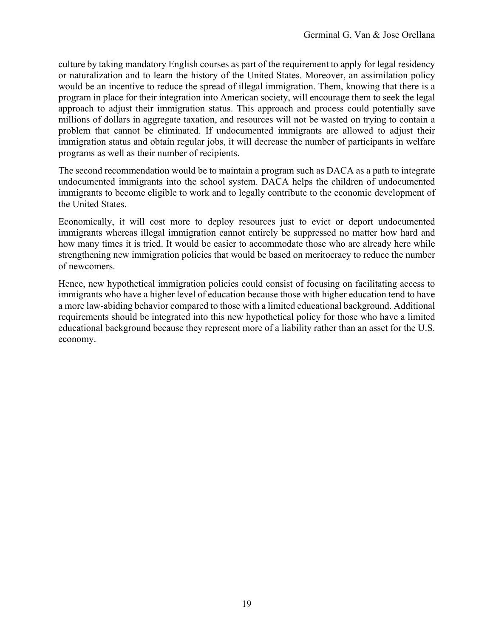culture by taking mandatory English courses as part of the requirement to apply for legal residency or naturalization and to learn the history of the United States. Moreover, an assimilation policy would be an incentive to reduce the spread of illegal immigration. Them, knowing that there is a program in place for their integration into American society, will encourage them to seek the legal approach to adjust their immigration status. This approach and process could potentially save millions of dollars in aggregate taxation, and resources will not be wasted on trying to contain a problem that cannot be eliminated. If undocumented immigrants are allowed to adjust their immigration status and obtain regular jobs, it will decrease the number of participants in welfare programs as well as their number of recipients.

The second recommendation would be to maintain a program such as DACA as a path to integrate undocumented immigrants into the school system. DACA helps the children of undocumented immigrants to become eligible to work and to legally contribute to the economic development of the United States.

Economically, it will cost more to deploy resources just to evict or deport undocumented immigrants whereas illegal immigration cannot entirely be suppressed no matter how hard and how many times it is tried. It would be easier to accommodate those who are already here while strengthening new immigration policies that would be based on meritocracy to reduce the number of newcomers.

Hence, new hypothetical immigration policies could consist of focusing on facilitating access to immigrants who have a higher level of education because those with higher education tend to have a more law-abiding behavior compared to those with a limited educational background. Additional requirements should be integrated into this new hypothetical policy for those who have a limited educational background because they represent more of a liability rather than an asset for the U.S. economy.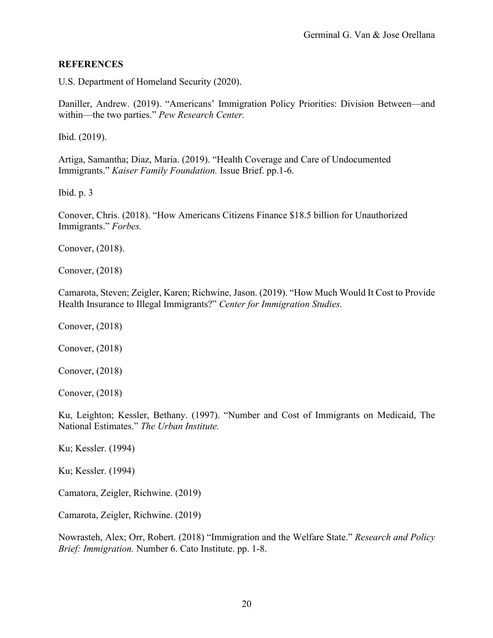#### **REFERENCES**

U.S. Department of Homeland Security (2020).

Daniller, Andrew. (2019). "Americans' Immigration Policy Priorities: Division Between—and within—the two parties." *Pew Research Center.* 

Ibid. (2019).

Artiga, Samantha; Diaz, Maria. (2019). "Health Coverage and Care of Undocumented Immigrants." *Kaiser Family Foundation.* Issue Brief. pp.1-6.

Ibid. p. 3

Conover, Chris. (2018). "How Americans Citizens Finance \$18.5 billion for Unauthorized Immigrants." *Forbes.* 

Conover, (2018).

Conover, (2018)

Camarota, Steven; Zeigler, Karen; Richwine, Jason. (2019). "How Much Would It Cost to Provide Health Insurance to Illegal Immigrants?" *Center for Immigration Studies.* 

Conover, (2018)

Conover, (2018)

Conover, (2018)

Conover, (2018)

Ku, Leighton; Kessler, Bethany. (1997). "Number and Cost of Immigrants on Medicaid, The National Estimates." *The Urban Institute.* 

Ku; Kessler. (1994)

Ku; Kessler. (1994)

Camatora, Zeigler, Richwine. (2019)

Camarota, Zeigler, Richwine. (2019)

Nowrasteh, Alex; Orr, Robert. (2018) "Immigration and the Welfare State." *Research and Policy Brief: Immigration.* Number 6. Cato Institute. pp. 1-8.